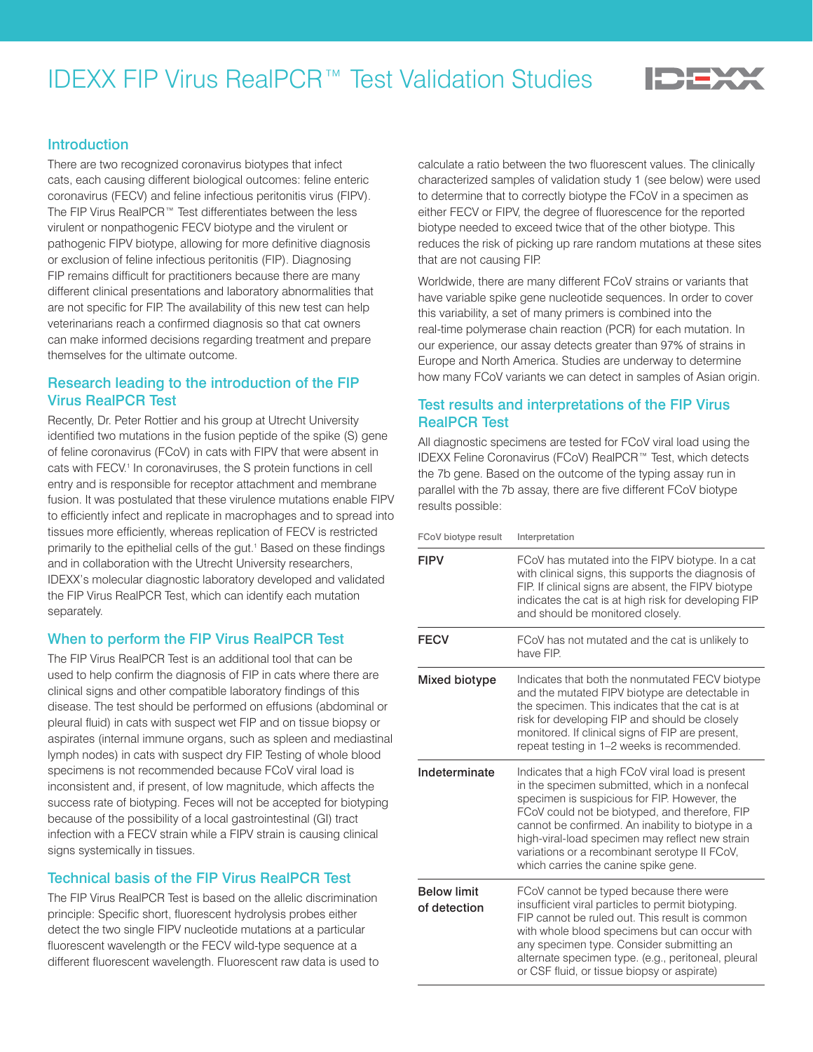# IDEXX FIP Virus RealPCR™ Test Validation Studies



#### **Introduction**

There are two recognized coronavirus biotypes that infect cats, each causing different biological outcomes: feline enteric coronavirus (FECV) and feline infectious peritonitis virus (FIPV). The FIP Virus RealPCR™ Test differentiates between the less virulent or nonpathogenic FECV biotype and the virulent or pathogenic FIPV biotype, allowing for more definitive diagnosis or exclusion of feline infectious peritonitis (FIP). Diagnosing FIP remains difficult for practitioners because there are many different clinical presentations and laboratory abnormalities that are not specific for FIP. The availability of this new test can help veterinarians reach a confirmed diagnosis so that cat owners can make informed decisions regarding treatment and prepare themselves for the ultimate outcome.

#### Research leading to the introduction of the FIP Virus RealPCR Test

Recently, Dr. Peter Rottier and his group at Utrecht University identified two mutations in the fusion peptide of the spike (S) gene of feline coronavirus (FCoV) in cats with FIPV that were absent in cats with FECV.<sup>1</sup> In coronaviruses, the S protein functions in cell entry and is responsible for receptor attachment and membrane fusion. It was postulated that these virulence mutations enable FIPV to efficiently infect and replicate in macrophages and to spread into tissues more efficiently, whereas replication of FECV is restricted primarily to the epithelial cells of the gut.<sup>1</sup> Based on these findings and in collaboration with the Utrecht University researchers, IDEXX's molecular diagnostic laboratory developed and validated the FIP Virus RealPCR Test, which can identify each mutation separately.

## When to perform the FIP Virus RealPCR Test

The FIP Virus RealPCR Test is an additional tool that can be used to help confirm the diagnosis of FIP in cats where there are clinical signs and other compatible laboratory findings of this disease. The test should be performed on effusions (abdominal or pleural fluid) in cats with suspect wet FIP and on tissue biopsy or aspirates (internal immune organs, such as spleen and mediastinal lymph nodes) in cats with suspect dry FIP. Testing of whole blood specimens is not recommended because FCoV viral load is inconsistent and, if present, of low magnitude, which affects the success rate of biotyping. Feces will not be accepted for biotyping because of the possibility of a local gastrointestinal (GI) tract infection with a FECV strain while a FIPV strain is causing clinical signs systemically in tissues.

# Technical basis of the FIP Virus RealPCR Test

The FIP Virus RealPCR Test is based on the allelic discrimination principle: Specific short, fluorescent hydrolysis probes either detect the two single FIPV nucleotide mutations at a particular fluorescent wavelength or the FECV wild-type sequence at a different fluorescent wavelength. Fluorescent raw data is used to calculate a ratio between the two fluorescent values. The clinically characterized samples of validation study 1 (see below) were used to determine that to correctly biotype the FCoV in a specimen as either FECV or FIPV, the degree of fluorescence for the reported biotype needed to exceed twice that of the other biotype. This reduces the risk of picking up rare random mutations at these sites that are not causing FIP.

Worldwide, there are many different FCoV strains or variants that have variable spike gene nucleotide sequences. In order to cover this variability, a set of many primers is combined into the real-time polymerase chain reaction (PCR) for each mutation. In our experience, our assay detects greater than 97% of strains in Europe and North America. Studies are underway to determine how many FCoV variants we can detect in samples of Asian origin.

## Test results and interpretations of the FIP Virus RealPCR Test

All diagnostic specimens are tested for FCoV viral load using the IDEXX Feline Coronavirus (FCoV) RealPCR™ Test, which detects the 7b gene. Based on the outcome of the typing assay run in parallel with the 7b assay, there are five different FCoV biotype results possible:

| FCoV biotype result                | Interpretation                                                                                                                                                                                                                                                                                                                                                                                        |
|------------------------------------|-------------------------------------------------------------------------------------------------------------------------------------------------------------------------------------------------------------------------------------------------------------------------------------------------------------------------------------------------------------------------------------------------------|
| <b>FIPV</b>                        | FCoV has mutated into the FIPV biotype. In a cat<br>with clinical signs, this supports the diagnosis of<br>FIP. If clinical signs are absent, the FIPV biotype<br>indicates the cat is at high risk for developing FIP<br>and should be monitored closely.                                                                                                                                            |
| <b>FECV</b>                        | FCoV has not mutated and the cat is unlikely to<br>have FIP                                                                                                                                                                                                                                                                                                                                           |
| Mixed biotype                      | Indicates that both the nonmutated FECV biotype<br>and the mutated FIPV biotype are detectable in<br>the specimen. This indicates that the cat is at<br>risk for developing FIP and should be closely<br>monitored. If clinical signs of FIP are present,<br>repeat testing in 1-2 weeks is recommended.                                                                                              |
| Indeterminate                      | Indicates that a high FCoV viral load is present<br>in the specimen submitted, which in a nonfecal<br>specimen is suspicious for FIP. However, the<br>FCoV could not be biotyped, and therefore, FIP<br>cannot be confirmed. An inability to biotype in a<br>high-viral-load specimen may reflect new strain<br>variations or a recombinant serotype II FCoV,<br>which carries the canine spike gene. |
| <b>Below limit</b><br>of detection | FCoV cannot be typed because there were<br>insufficient viral particles to permit biotyping.<br>FIP cannot be ruled out. This result is common<br>with whole blood specimens but can occur with<br>any specimen type. Consider submitting an<br>alternate specimen type. (e.g., peritoneal, pleural<br>or CSF fluid, or tissue biopsy or aspirate)                                                    |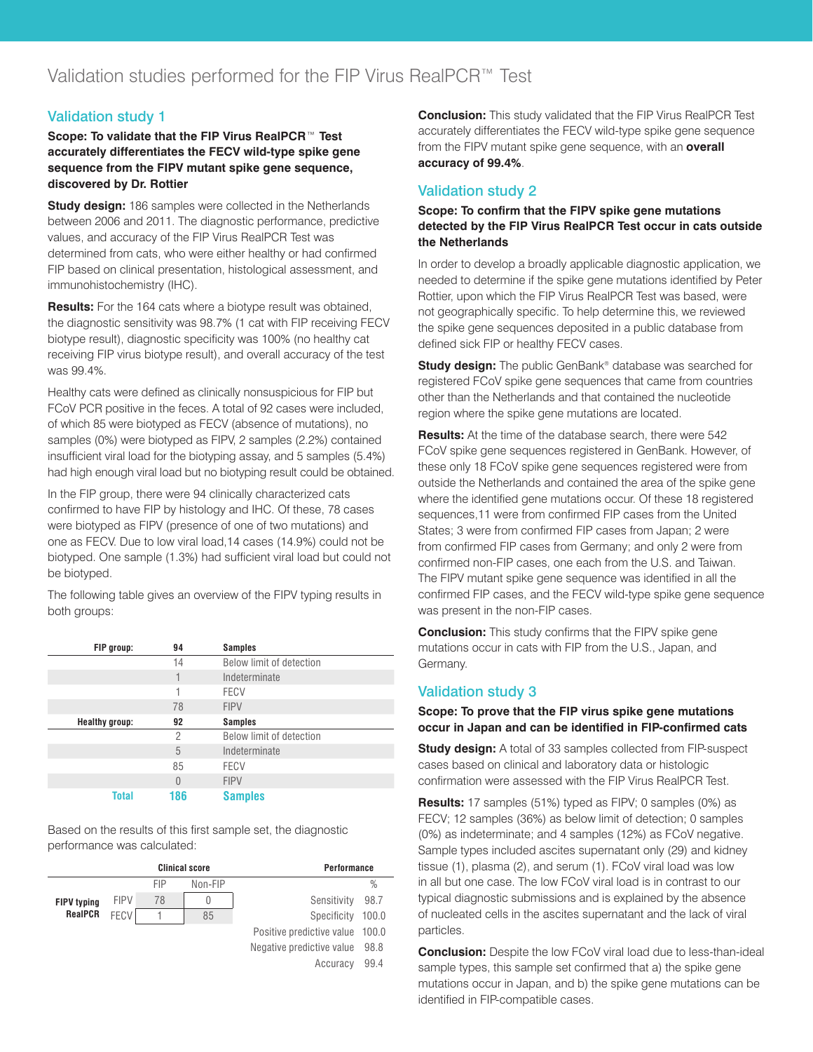# Validation study 1

**Scope: To validate that the FIP Virus RealPCR**™ **Test accurately differentiates the FECV wild-type spike gene sequence from the FIPV mutant spike gene sequence, discovered by Dr. Rottier** 

**Study design:** 186 samples were collected in the Netherlands between 2006 and 2011. The diagnostic performance, predictive values, and accuracy of the FIP Virus RealPCR Test was determined from cats, who were either healthy or had confirmed FIP based on clinical presentation, histological assessment, and immunohistochemistry (IHC).

**Results:** For the 164 cats where a biotype result was obtained, the diagnostic sensitivity was 98.7% (1 cat with FIP receiving FECV biotype result), diagnostic specificity was 100% (no healthy cat receiving FIP virus biotype result), and overall accuracy of the test was 99.4%.

Healthy cats were defined as clinically nonsuspicious for FIP but FCoV PCR positive in the feces. A total of 92 cases were included, of which 85 were biotyped as FECV (absence of mutations), no samples (0%) were biotyped as FIPV, 2 samples (2.2%) contained insufficient viral load for the biotyping assay, and 5 samples (5.4%) had high enough viral load but no biotyping result could be obtained.

In the FIP group, there were 94 clinically characterized cats confirmed to have FIP by histology and IHC. Of these, 78 cases were biotyped as FIPV (presence of one of two mutations) and one as FECV. Due to low viral load,14 cases (14.9%) could not be biotyped. One sample (1.3%) had sufficient viral load but could not be biotyped.

The following table gives an overview of the FIPV typing results in both groups:

| FIP group:            | 94       | <b>Samples</b>           |
|-----------------------|----------|--------------------------|
|                       | 14       | Below limit of detection |
|                       | 1        | Indeterminate            |
|                       | 1        | <b>FECV</b>              |
|                       | 78       | <b>FIPV</b>              |
| <b>Healthy group:</b> | 92       | <b>Samples</b>           |
|                       | 2        | Below limit of detection |
|                       | 5        | Indeterminate            |
|                       | 85       | <b>FECV</b>              |
|                       | $\Omega$ | <b>FIPV</b>              |
| Total                 | 186      | <b>Samples</b>           |

Based on the results of this first sample set, the diagnostic performance was calculated:

| <b>Clinical score</b> |             |     | Performance |                           |               |
|-----------------------|-------------|-----|-------------|---------------------------|---------------|
|                       |             | FIP | Non-FIP     |                           | $\frac{0}{0}$ |
| <b>FIPV typing</b>    | <b>FIPV</b> | 78  | U           | Sensitivity               | 98.7          |
| <b>RealPCR</b>        | <b>FECV</b> |     | 85          | Specificity               | 100.0         |
|                       |             |     |             | Positive predictive value | 100.0         |
|                       |             |     |             | Negative predictive value | 98.8          |
|                       |             |     |             | Accuracy                  | 99.4          |

**Conclusion:** This study validated that the FIP Virus RealPCR Test accurately differentiates the FECV wild-type spike gene sequence from the FIPV mutant spike gene sequence, with an **overall accuracy of 99.4%**.

# Validation study 2

#### **Scope: To confirm that the FIPV spike gene mutations detected by the FIP Virus RealPCR Test occur in cats outside the Netherlands**

In order to develop a broadly applicable diagnostic application, we needed to determine if the spike gene mutations identified by Peter Rottier, upon which the FIP Virus RealPCR Test was based, were not geographically specific. To help determine this, we reviewed the spike gene sequences deposited in a public database from defined sick FIP or healthy FECV cases.

**Study design:** The public GenBank® database was searched for registered FCoV spike gene sequences that came from countries other than the Netherlands and that contained the nucleotide region where the spike gene mutations are located.

**Results:** At the time of the database search, there were 542 FCoV spike gene sequences registered in GenBank. However, of these only 18 FCoV spike gene sequences registered were from outside the Netherlands and contained the area of the spike gene where the identified gene mutations occur. Of these 18 registered sequences,11 were from confirmed FIP cases from the United States; 3 were from confirmed FIP cases from Japan; 2 were from confirmed FIP cases from Germany; and only 2 were from confirmed non-FIP cases, one each from the U.S. and Taiwan. The FIPV mutant spike gene sequence was identified in all the confirmed FIP cases, and the FECV wild-type spike gene sequence was present in the non-FIP cases.

**Conclusion:** This study confirms that the FIPV spike gene mutations occur in cats with FIP from the U.S., Japan, and Germany.

# Validation study 3

#### **Scope: To prove that the FIP virus spike gene mutations occur in Japan and can be identified in FIP-confirmed cats**

**Study design:** A total of 33 samples collected from FIP-suspect cases based on clinical and laboratory data or histologic confirmation were assessed with the FIP Virus RealPCR Test.

**Results:** 17 samples (51%) typed as FIPV; 0 samples (0%) as FECV; 12 samples (36%) as below limit of detection; 0 samples (0%) as indeterminate; and 4 samples (12%) as FCoV negative. Sample types included ascites supernatant only (29) and kidney tissue (1), plasma (2), and serum (1). FCoV viral load was low in all but one case. The low FCoV viral load is in contrast to our typical diagnostic submissions and is explained by the absence of nucleated cells in the ascites supernatant and the lack of viral particles.

**Conclusion:** Despite the low FCoV viral load due to less-than-ideal sample types, this sample set confirmed that a) the spike gene mutations occur in Japan, and b) the spike gene mutations can be identified in FIP-compatible cases.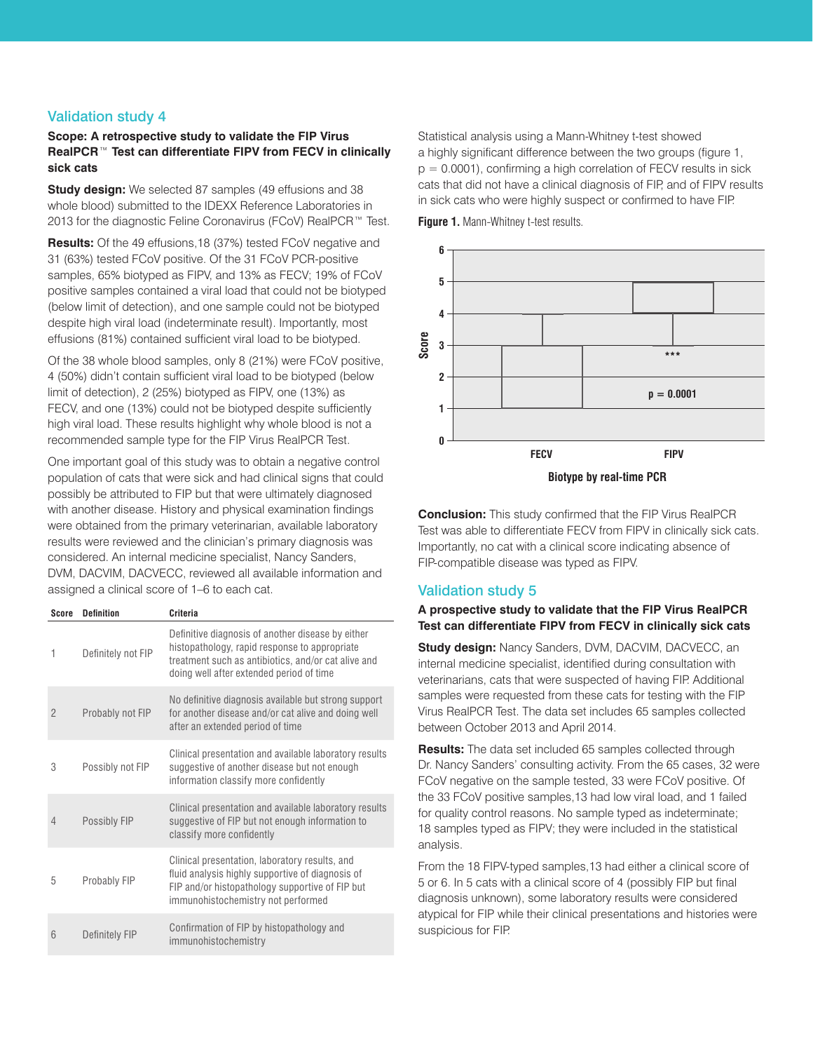## Validation study 4

#### **Scope: A retrospective study to validate the FIP Virus RealPCR**™ **Test can differentiate FIPV from FECV in clinically sick cats**

**Study design:** We selected 87 samples (49 effusions and 38 whole blood) submitted to the IDEXX Reference Laboratories in 2013 for the diagnostic Feline Coronavirus (FCoV) RealPCR™ Test.

**Results:** Of the 49 effusions,18 (37%) tested FCoV negative and 31 (63%) tested FCoV positive. Of the 31 FCoV PCR-positive samples, 65% biotyped as FIPV, and 13% as FECV; 19% of FCoV positive samples contained a viral load that could not be biotyped (below limit of detection), and one sample could not be biotyped despite high viral load (indeterminate result). Importantly, most effusions (81%) contained sufficient viral load to be biotyped.

Of the 38 whole blood samples, only 8 (21%) were FCoV positive, 4 (50%) didn't contain sufficient viral load to be biotyped (below limit of detection), 2 (25%) biotyped as FIPV, one (13%) as FECV, and one (13%) could not be biotyped despite sufficiently high viral load. These results highlight why whole blood is not a recommended sample type for the FIP Virus RealPCR Test.

One important goal of this study was to obtain a negative control population of cats that were sick and had clinical signs that could possibly be attributed to FIP but that were ultimately diagnosed with another disease. History and physical examination findings were obtained from the primary veterinarian, available laboratory results were reviewed and the clinician's primary diagnosis was considered. An internal medicine specialist, Nancy Sanders, DVM, DACVIM, DACVECC, reviewed all available information and assigned a clinical score of 1–6 to each cat.

| Score          | <b>Definition</b>     | Criteria                                                                                                                                                                                              |
|----------------|-----------------------|-------------------------------------------------------------------------------------------------------------------------------------------------------------------------------------------------------|
| 1              | Definitely not FIP    | Definitive diagnosis of another disease by either<br>histopathology, rapid response to appropriate<br>treatment such as antibiotics, and/or cat alive and<br>doing well after extended period of time |
| $\overline{2}$ | Probably not FIP      | No definitive diagnosis available but strong support<br>for another disease and/or cat alive and doing well<br>after an extended period of time                                                       |
| 3              | Possibly not FIP      | Clinical presentation and available laboratory results<br>suggestive of another disease but not enough<br>information classify more confidently                                                       |
| $\overline{4}$ | Possibly FIP          | Clinical presentation and available laboratory results<br>suggestive of FIP but not enough information to<br>classify more confidently                                                                |
| 5              | Probably FIP          | Clinical presentation, laboratory results, and<br>fluid analysis highly supportive of diagnosis of<br>FIP and/or histopathology supportive of FIP but<br>immunohistochemistry not performed           |
| 6              | <b>Definitely FIP</b> | Confirmation of FIP by histopathology and<br>immunohistochemistry                                                                                                                                     |

Statistical analysis using a Mann-Whitney t-test showed a highly significant difference between the two groups (figure 1,  $p = 0.0001$ , confirming a high correlation of FECV results in sick cats that did not have a clinical diagnosis of FIP, and of FIPV results in sick cats who were highly suspect or confirmed to have FIP.





**Biotype by real-time PCR**

**Conclusion:** This study confirmed that the FIP Virus RealPCR Test was able to differentiate FECV from FIPV in clinically sick cats. Importantly, no cat with a clinical score indicating absence of FIP-compatible disease was typed as FIPV.

# Validation study 5

#### **A prospective study to validate that the FIP Virus RealPCR Test can differentiate FIPV from FECV in clinically sick cats**

**Study design:** Nancy Sanders, DVM, DACVIM, DACVECC, an internal medicine specialist, identified during consultation with veterinarians, cats that were suspected of having FIP. Additional samples were requested from these cats for testing with the FIP Virus RealPCR Test. The data set includes 65 samples collected between October 2013 and April 2014.

**Results:** The data set included 65 samples collected through Dr. Nancy Sanders' consulting activity. From the 65 cases, 32 were FCoV negative on the sample tested, 33 were FCoV positive. Of the 33 FCoV positive samples,13 had low viral load, and 1 failed for quality control reasons. No sample typed as indeterminate; 18 samples typed as FIPV; they were included in the statistical analysis.

From the 18 FIPV-typed samples,13 had either a clinical score of 5 or 6. In 5 cats with a clinical score of 4 (possibly FIP but final diagnosis unknown), some laboratory results were considered atypical for FIP while their clinical presentations and histories were suspicious for FIP.